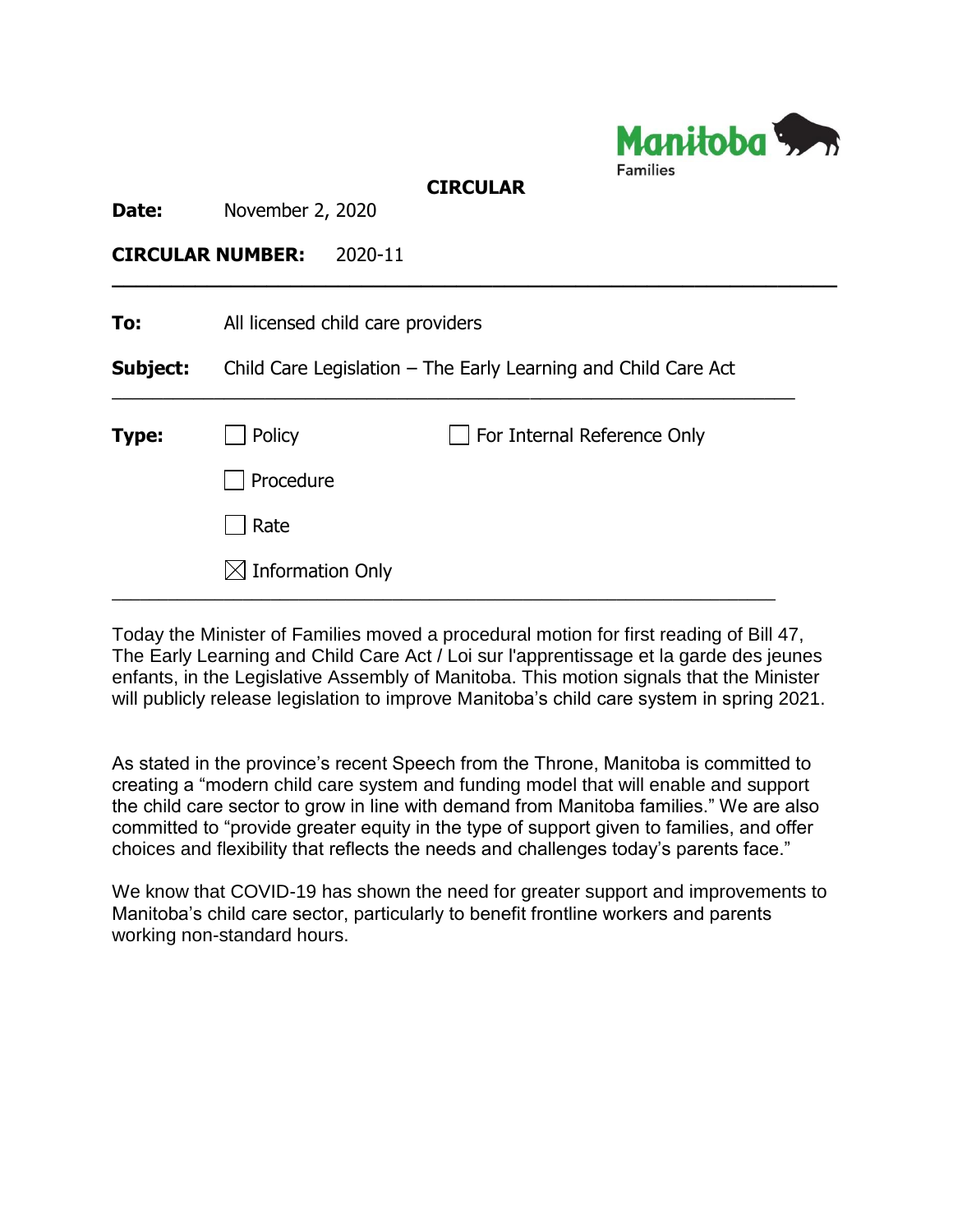

## **CIRCULAR**

**\_\_\_\_\_\_\_\_\_\_\_\_\_\_\_\_\_\_\_\_\_\_\_\_\_\_\_\_\_\_\_\_\_\_\_\_\_\_\_\_\_\_\_\_\_\_\_\_\_\_\_\_\_\_\_\_\_\_\_\_\_**

**Date:** November 2, 2020

## **CIRCULAR NUMBER:** 2020-11

| To:          | All licensed child care providers                              |                             |
|--------------|----------------------------------------------------------------|-----------------------------|
| Subject:     | Child Care Legislation – The Early Learning and Child Care Act |                             |
| <b>Type:</b> | Policy                                                         | For Internal Reference Only |
|              | Procedure                                                      |                             |
|              | Rate                                                           |                             |
|              | $\boxtimes$ Information Only                                   |                             |

Today the Minister of Families moved a procedural motion for first reading of Bill 47, The Early Learning and Child Care Act / Loi sur l'apprentissage et la garde des jeunes enfants, in the Legislative Assembly of Manitoba. This motion signals that the Minister will publicly release legislation to improve Manitoba's child care system in spring 2021.

As stated in the province's recent Speech from the Throne, Manitoba is committed to creating a "modern child care system and funding model that will enable and support the child care sector to grow in line with demand from Manitoba families." We are also committed to "provide greater equity in the type of support given to families, and offer choices and flexibility that reflects the needs and challenges today's parents face."

We know that COVID-19 has shown the need for greater support and improvements to Manitoba's child care sector, particularly to benefit frontline workers and parents working non-standard hours.